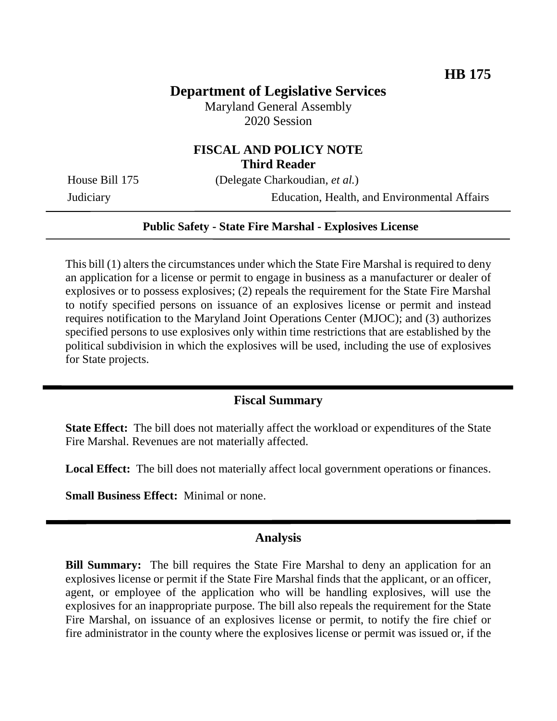# **Department of Legislative Services**

Maryland General Assembly 2020 Session

## **FISCAL AND POLICY NOTE Third Reader**

House Bill 175 (Delegate Charkoudian, *et al.*)

Judiciary Education, Health, and Environmental Affairs

### **Public Safety - State Fire Marshal - Explosives License**

This bill (1) alters the circumstances under which the State Fire Marshal is required to deny an application for a license or permit to engage in business as a manufacturer or dealer of explosives or to possess explosives; (2) repeals the requirement for the State Fire Marshal to notify specified persons on issuance of an explosives license or permit and instead requires notification to the Maryland Joint Operations Center (MJOC); and (3) authorizes specified persons to use explosives only within time restrictions that are established by the political subdivision in which the explosives will be used, including the use of explosives for State projects.

### **Fiscal Summary**

**State Effect:** The bill does not materially affect the workload or expenditures of the State Fire Marshal. Revenues are not materially affected.

**Local Effect:** The bill does not materially affect local government operations or finances.

**Small Business Effect:** Minimal or none.

### **Analysis**

**Bill Summary:** The bill requires the State Fire Marshal to deny an application for an explosives license or permit if the State Fire Marshal finds that the applicant, or an officer, agent, or employee of the application who will be handling explosives, will use the explosives for an inappropriate purpose. The bill also repeals the requirement for the State Fire Marshal, on issuance of an explosives license or permit, to notify the fire chief or fire administrator in the county where the explosives license or permit was issued or, if the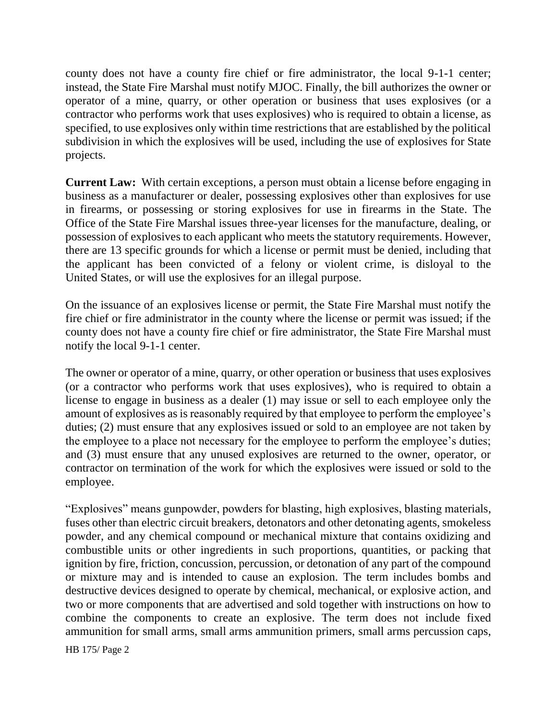county does not have a county fire chief or fire administrator, the local 9-1-1 center; instead, the State Fire Marshal must notify MJOC. Finally, the bill authorizes the owner or operator of a mine, quarry, or other operation or business that uses explosives (or a contractor who performs work that uses explosives) who is required to obtain a license, as specified, to use explosives only within time restrictions that are established by the political subdivision in which the explosives will be used, including the use of explosives for State projects.

**Current Law:** With certain exceptions, a person must obtain a license before engaging in business as a manufacturer or dealer, possessing explosives other than explosives for use in firearms, or possessing or storing explosives for use in firearms in the State. The Office of the State Fire Marshal issues three-year licenses for the manufacture, dealing, or possession of explosives to each applicant who meets the statutory requirements. However, there are 13 specific grounds for which a license or permit must be denied, including that the applicant has been convicted of a felony or violent crime, is disloyal to the United States, or will use the explosives for an illegal purpose.

On the issuance of an explosives license or permit, the State Fire Marshal must notify the fire chief or fire administrator in the county where the license or permit was issued; if the county does not have a county fire chief or fire administrator, the State Fire Marshal must notify the local 9-1-1 center.

The owner or operator of a mine, quarry, or other operation or business that uses explosives (or a contractor who performs work that uses explosives), who is required to obtain a license to engage in business as a dealer (1) may issue or sell to each employee only the amount of explosives as is reasonably required by that employee to perform the employee's duties; (2) must ensure that any explosives issued or sold to an employee are not taken by the employee to a place not necessary for the employee to perform the employee's duties; and (3) must ensure that any unused explosives are returned to the owner, operator, or contractor on termination of the work for which the explosives were issued or sold to the employee.

"Explosives" means gunpowder, powders for blasting, high explosives, blasting materials, fuses other than electric circuit breakers, detonators and other detonating agents, smokeless powder, and any chemical compound or mechanical mixture that contains oxidizing and combustible units or other ingredients in such proportions, quantities, or packing that ignition by fire, friction, concussion, percussion, or detonation of any part of the compound or mixture may and is intended to cause an explosion. The term includes bombs and destructive devices designed to operate by chemical, mechanical, or explosive action, and two or more components that are advertised and sold together with instructions on how to combine the components to create an explosive. The term does not include fixed ammunition for small arms, small arms ammunition primers, small arms percussion caps,

HB 175/ Page 2